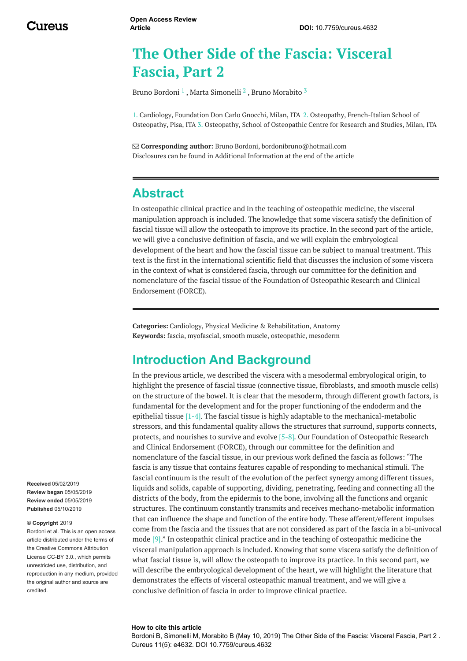# **The Other Side of the Fascia: Visceral Fascia, Part 2**

Bruno [Bordoni](https://www.cureus.com/users/19337-bruno-bordoni)  $^1$  , Marta [Simonelli](https://www.cureus.com/users/105885-marta-simonelli)  $^2$  , Bruno [Morabito](https://www.cureus.com/users/26826-bruno-morabito)  $^3$ 

1. Cardiology, Foundation Don Carlo Gnocchi, Milan, ITA 2. Osteopathy, French-Italian School of Osteopathy, Pisa, ITA 3. Osteopathy, School of Osteopathic Centre for Research and Studies, Milan, ITA

 **Corresponding author:** Bruno Bordoni, bordonibruno@hotmail.com Disclosures can be found in Additional Information at the end of the article

## **Abstract**

In osteopathic clinical practice and in the teaching of osteopathic medicine, the visceral manipulation approach is included. The knowledge that some viscera satisfy the definition of fascial tissue will allow the osteopath to improve its practice. In the second part of the article, we will give a conclusive definition of fascia, and we will explain the embryological development of the heart and how the fascial tissue can be subject to manual treatment. This text is the first in the international scientific field that discusses the inclusion of some viscera in the context of what is considered fascia, through our committee for the definition and nomenclature of the fascial tissue of the Foundation of Osteopathic Research and Clinical Endorsement (FORCE).

**Categories:** Cardiology, Physical Medicine & Rehabilitation, Anatomy **Keywords:** fascia, myofascial, smooth muscle, osteopathic, mesoderm

### **Introduction And Background**

In the previous article, we described the viscera with a mesodermal embryological origin, to highlight the presence of fascial tissue (connective tissue, fibroblasts, and smooth muscle cells) on the structure of the bowel. It is clear that the mesoderm, through different growth factors, is fundamental for the development and for the proper functioning of the endoderm and the epithelial tissue [1-4]. The fascial tissue is highly adaptable to the mechanical-metabolic stressors, and this fundamental quality allows the structures that surround, supports connects, protects, and nourishes to survive and evolve [5-8]. Our Foundation of Osteopathic Research and Clinical Endorsement (FORCE), through our committee for the definition and nomenclature of the fascial tissue, in our previous work defined the fascia as follows: "The fascia is any tissue that contains features capable of responding to mechanical stimuli. The fascial continuum is the result of the evolution of the perfect synergy among different tissues, liquids and solids, capable of supporting, dividing, penetrating, feeding and connecting all the districts of the body, from the epidermis to the bone, involving all the functions and organic structures. The continuum constantly transmits and receives mechano-metabolic information that can influence the shape and function of the entire body. These afferent/efferent impulses come from the fascia and the tissues that are not considered as part of the fascia in a bi-univocal mode [9]." In osteopathic clinical practice and in the teaching of osteopathic medicine the visceral manipulation approach is included. Knowing that some viscera satisfy the definition of what fascial tissue is, will allow the osteopath to improve its practice. In this second part, we will describe the embryological development of the heart, we will highlight the literature that demonstrates the effects of visceral osteopathic manual treatment, and we will give a conclusive definition of fascia in order to improve clinical practice.

#### **How to cite this article**

Bordoni B, Simonelli M, Morabito B (May 10, 2019) The Other Side of the Fascia: Visceral Fascia, Part 2 . Cureus 11(5): e4632. DOI 10.7759/cureus.4632

**Received** 05/02/2019 **Review began** 05/05/2019 **Review ended** 05/05/2019 **Published** 05/10/2019

#### **© Copyright** 2019

Bordoni et al. This is an open access article distributed under the terms of the Creative Commons Attribution License CC-BY 3.0., which permits unrestricted use, distribution, and reproduction in any medium, provided the original author and source are credited.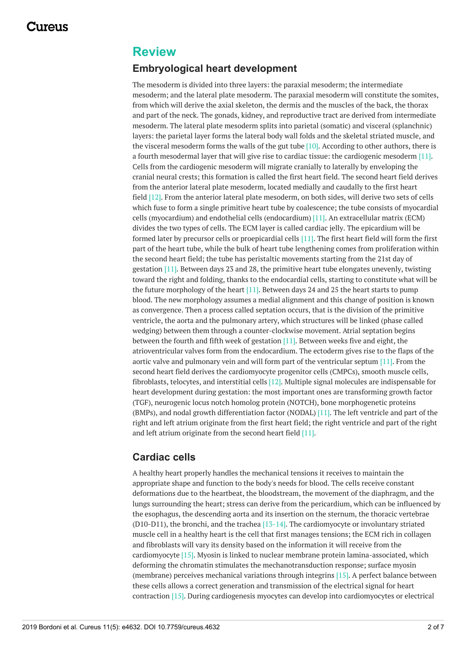## **Review**

#### **Embryological heart development**

The mesoderm is divided into three layers: the paraxial mesoderm; the intermediate mesoderm; and the lateral plate mesoderm. The paraxial mesoderm will constitute the somites, from which will derive the axial skeleton, the dermis and the muscles of the back, the thorax and part of the neck. The gonads, kidney, and reproductive tract are derived from intermediate mesoderm. The lateral plate mesoderm splits into parietal (somatic) and visceral (splanchnic) layers: the parietal layer forms the lateral body wall folds and the skeletal striated muscle, and the visceral mesoderm forms the walls of the gut tube  $[10]$ . According to other authors, there is a fourth mesodermal layer that will give rise to cardiac tissue: the cardiogenic mesoderm [11]. Cells from the cardiogenic mesoderm will migrate cranially to laterally by enveloping the cranial neural crests; this formation is called the first heart field. The second heart field derives from the anterior lateral plate mesoderm, located medially and caudally to the first heart field [12]. From the anterior lateral plate mesoderm, on both sides, will derive two sets of cells which fuse to form a single primitive heart tube by coalescence; the tube consists of myocardial cells (myocardium) and endothelial cells (endocardium) [11]. An extracellular matrix (ECM) divides the two types of cells. The ECM layer is called cardiac jelly. The epicardium will be formed later by precursor cells or proepicardial cells [11]. The first heart field will form the first part of the heart tube, while the bulk of heart tube lengthening comes from proliferation within the second heart field; the tube has peristaltic movements starting from the 21st day of gestation [11]. Between days 23 and 28, the primitive heart tube elongates unevenly, twisting toward the right and folding, thanks to the endocardial cells, starting to constitute what will be the future morphology of the heart [11]. Between days 24 and 25 the heart starts to pump blood. The new morphology assumes a medial alignment and this change of position is known as convergence. Then a process called septation occurs, that is the division of the primitive ventricle, the aorta and the pulmonary artery, which structures will be linked (phase called wedging) between them through a counter-clockwise movement. Atrial septation begins between the fourth and fifth week of gestation [11]. Between weeks five and eight, the atrioventricular valves form from the endocardium. The ectoderm gives rise to the flaps of the aortic valve and pulmonary vein and will form part of the ventricular septum [11]. From the second heart field derives the cardiomyocyte progenitor cells (CMPCs), smooth muscle cells, fibroblasts, telocytes, and interstitial cells [12]. Multiple signal molecules are indispensable for heart development during gestation: the most important ones are transforming growth factor (TGF), neurogenic locus notch homolog protein (NOTCH), bone morphogenetic proteins (BMPs), and nodal growth differentiation factor (NODAL) [11]. The left ventricle and part of the right and left atrium originate from the first heart field; the right ventricle and part of the right and left atrium originate from the second heart field [11].

#### **Cardiac cells**

A healthy heart properly handles the mechanical tensions it receives to maintain the appropriate shape and function to the body's needs for blood. The cells receive constant deformations due to the heartbeat, the bloodstream, the movement of the diaphragm, and the lungs surrounding the heart; stress can derive from the pericardium, which can be influenced by the esophagus, the descending aorta and its insertion on the sternum, the thoracic vertebrae (D10-D11), the bronchi, and the trachea  $[13-14]$ . The cardiomyocyte or involuntary striated muscle cell in a healthy heart is the cell that first manages tensions; the ECM rich in collagen and fibroblasts will vary its density based on the information it will receive from the cardiomyocyte [15]. Myosin is linked to nuclear membrane protein lamina-associated, which deforming the chromatin stimulates the mechanotransduction response; surface myosin (membrane) perceives mechanical variations through integrins [15]. A perfect balance between these cells allows a correct generation and transmission of the electrical signal for heart contraction [15]. During cardiogenesis myocytes can develop into cardiomyocytes or electrical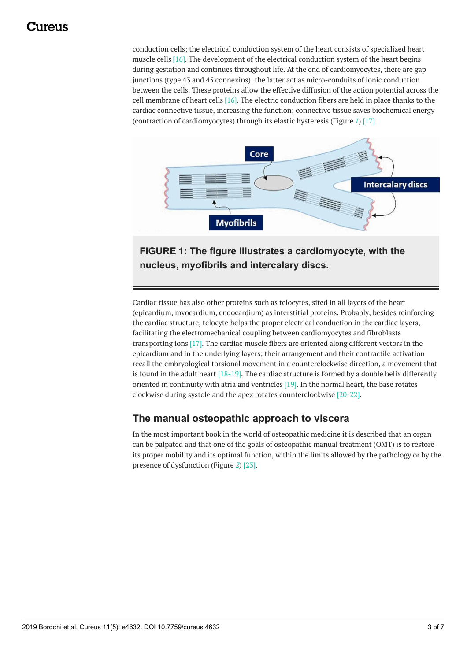# 117e119

conduction cells; the electrical conduction system of the heart consists of specialized heart muscle cells [16]. The development of the electrical conduction system of the heart begins during gestation and continues throughout life. At the end of cardiomyocytes, there are gap junctions (type 43 and 45 connexins): the latter act as micro-conduits of ionic conduction between the cells. These proteins allow the effective diffusion of the action potential across the cell membrane of heart cells [16]. The electric conduction fibers are held in place thanks to the cardiac connective tissue, increasing the function; connective tissue saves biochemical energy (contraction of cardiomyocytes) through its elastic hysteresis (Figure *[1](#page-2-0)*) [17].

<span id="page-2-0"></span>

**FIGURE 1: The figure illustrates a cardiomyocyte, with the nucleus, myofibrils and intercalary discs.**

Cardiac tissue has also other proteins such as telocytes, sited in all layers of the heart (epicardium, myocardium, endocardium) as interstitial proteins. Probably, besides reinforcing the cardiac structure, telocyte helps the proper electrical conduction in the cardiac layers, facilitating the electromechanical coupling between cardiomyocytes and fibroblasts transporting ions [17]. The cardiac muscle fibers are oriented along different vectors in the epicardium and in the underlying layers; their arrangement and their contractile activation recall the embryological torsional movement in a counterclockwise direction, a movement that is found in the adult heart  $[18-19]$ . The cardiac structure is formed by a double helix differently oriented in continuity with atria and ventricles [19]. In the normal heart, the base rotates clockwise during systole and the apex rotates counterclockwise [20-22].

#### **The manual osteopathic approach to viscera**

In the most important book in the world of osteopathic medicine it is described that an organ can be palpated and that one of the goals of osteopathic manual treatment (OMT) is to restore its proper mobility and its optimal function, within the limits allowed by the pathology or by the presence of dysfunction (Figure *[2](#page-3-0)*) [23].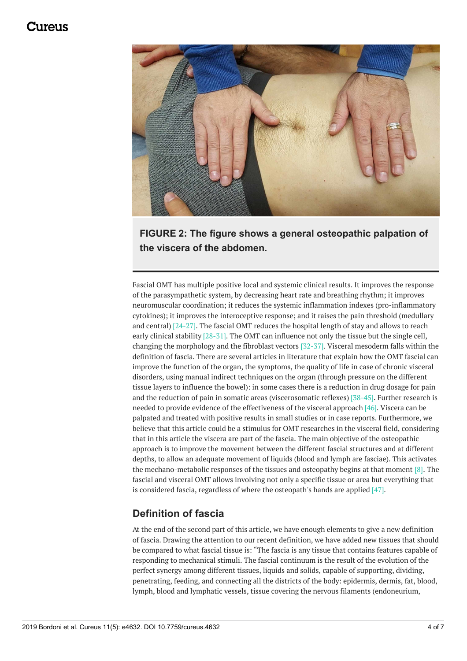## 117A119

<span id="page-3-0"></span>

**FIGURE 2: The figure shows a general osteopathic palpation of the viscera of the abdomen.**

Fascial OMT has multiple positive local and systemic clinical results. It improves the response of the parasympathetic system, by decreasing heart rate and breathing rhythm; it improves neuromuscular coordination; it reduces the systemic inflammation indexes (pro-inflammatory cytokines); it improves the interoceptive response; and it raises the pain threshold (medullary and central) [24-27]. The fascial OMT reduces the hospital length of stay and allows to reach early clinical stability [28-31]. The OMT can influence not only the tissue but the single cell, changing the morphology and the fibroblast vectors [32-37]. Visceral mesoderm falls within the definition of fascia. There are several articles in literature that explain how the OMT fascial can improve the function of the organ, the symptoms, the quality of life in case of chronic visceral disorders, using manual indirect techniques on the organ (through pressure on the different tissue layers to influence the bowel): in some cases there is a reduction in drug dosage for pain and the reduction of pain in somatic areas (viscerosomatic reflexes) [38-45]. Further research is needed to provide evidence of the effectiveness of the visceral approach [46]. Viscera can be palpated and treated with positive results in small studies or in case reports. Furthermore, we believe that this article could be a stimulus for OMT researches in the visceral field, considering that in this article the viscera are part of the fascia. The main objective of the osteopathic approach is to improve the movement between the different fascial structures and at different depths, to allow an adequate movement of liquids (blood and lymph are fasciae). This activates the mechano-metabolic responses of the tissues and osteopathy begins at that moment [8]. The fascial and visceral OMT allows involving not only a specific tissue or area but everything that is considered fascia, regardless of where the osteopath's hands are applied [47].

#### **Definition of fascia**

At the end of the second part of this article, we have enough elements to give a new definition of fascia. Drawing the attention to our recent definition, we have added new tissues that should be compared to what fascial tissue is: "The fascia is any tissue that contains features capable of responding to mechanical stimuli. The fascial continuum is the result of the evolution of the perfect synergy among different tissues, liquids and solids, capable of supporting, dividing, penetrating, feeding, and connecting all the districts of the body: epidermis, dermis, fat, blood, lymph, blood and lymphatic vessels, tissue covering the nervous filaments (endoneurium,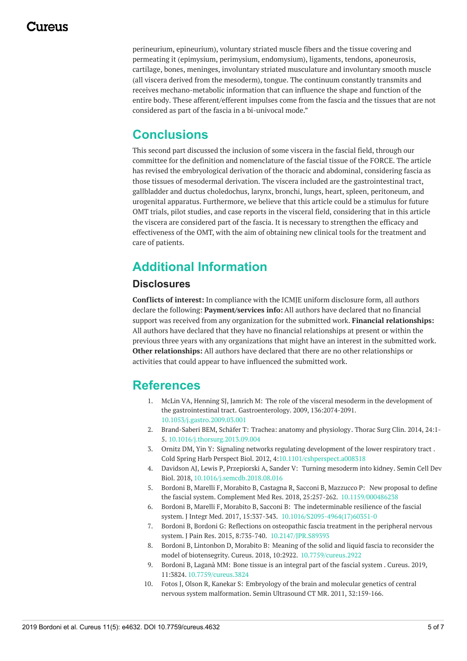# 117A119

perineurium, epineurium), voluntary striated muscle fibers and the tissue covering and permeating it (epimysium, perimysium, endomysium), ligaments, tendons, aponeurosis, cartilage, bones, meninges, involuntary striated musculature and involuntary smooth muscle (all viscera derived from the mesoderm), tongue. The continuum constantly transmits and receives mechano-metabolic information that can influence the shape and function of the entire body. These afferent/efferent impulses come from the fascia and the tissues that are not considered as part of the fascia in a bi-univocal mode."

# **Conclusions**

This second part discussed the inclusion of some viscera in the fascial field, through our committee for the definition and nomenclature of the fascial tissue of the FORCE. The article has revised the embryological derivation of the thoracic and abdominal, considering fascia as those tissues of mesodermal derivation. The viscera included are the gastrointestinal tract, gallbladder and ductus choledochus, larynx, bronchi, lungs, heart, spleen, peritoneum, and urogenital apparatus. Furthermore, we believe that this article could be a stimulus for future OMT trials, pilot studies, and case reports in the visceral field, considering that in this article the viscera are considered part of the fascia. It is necessary to strengthen the efficacy and effectiveness of the OMT, with the aim of obtaining new clinical tools for the treatment and care of patients.

# **Additional Information**

#### **Disclosures**

**Conflicts of interest:** In compliance with the ICMJE uniform disclosure form, all authors declare the following: **Payment/services info:** All authors have declared that no financial support was received from any organization for the submitted work. **Financial relationships:** All authors have declared that they have no financial relationships at present or within the previous three years with any organizations that might have an interest in the submitted work. **Other relationships:** All authors have declared that there are no other relationships or activities that could appear to have influenced the submitted work.

# **References**

- 1. McLin VA, Henning SJ, Jamrich M: The role of the visceral mesoderm in the development of the gastrointestinal tract. [Gastroenterology.](https://dx.doi.org/10.1053/j.gastro.2009.03.001) 2009, 136:2074-2091. [10.1053/j.gastro.2009.03.001](https://dx.doi.org/10.1053/j.gastro.2009.03.001)
- 2. Brand-Saberi BEM, Schäfer T: Trachea: anatomy and [physiology](https://dx.doi.org/10.1016/j.thorsurg.2013.09.004). Thorac Surg Clin. 2014, 24:1- 5. [10.1016/j.thorsurg.2013.09.004](https://dx.doi.org/10.1016/j.thorsurg.2013.09.004)
- 3. Ornitz DM, Yin Y: Signaling networks regulating [development](https://dx.doi.org/10.1101/cshperspect.a008318) of the lower respiratory tract . Cold Spring Harb Perspect Biol. 2012, 4[:10.1101/cshperspect.a008318](https://dx.doi.org/10.1101/cshperspect.a008318)
- 4. Davidson AJ, Lewis P, Przepiorski A, Sander V: Turning [mesoderm](https://dx.doi.org/10.1016/j.semcdb.2018.08.016) into kidney. Semin Cell Dev Biol. 2018, [10.1016/j.semcdb.2018.08.016](https://dx.doi.org/10.1016/j.semcdb.2018.08.016)
- 5. Bordoni B, Marelli F, Morabito B, Castagna R, Sacconi B, Mazzucco P: New proposal to define the fascial system. Complement Med Res. 2018, 25:257-262. [10.1159/000486238](https://dx.doi.org/10.1159/000486238)
- 6. Bordoni B, Marelli F, Morabito B, Sacconi B: The indeterminable resilience of the fascial system. J Integr Med. 2017, 15:337-343. [10.1016/S2095-4964\(17\)60351-0](https://dx.doi.org/10.1016/S2095-4964(17)60351-0)
- 7. Bordoni B, Bordoni G: Reflections on osteopathic fascia treatment in the peripheral nervous system. J Pain Res. 2015, 8:735-740. [10.2147/JPR.S89393](https://dx.doi.org/10.2147/JPR.S89393)
- 8. Bordoni B, Lintonbon D, Morabito B: Meaning of the solid and liquid fascia to reconsider the model of biotensegrity. Cureus. 2018, 10:2922. [10.7759/cureus.2922](https://dx.doi.org/10.7759/cureus.2922)
- 9. Bordoni B, Laganà MM: Bone tissue is an [integral](https://dx.doi.org/10.7759/cureus.3824) part of the fascial system . Cureus. 2019, 11:3824. [10.7759/cureus.3824](https://dx.doi.org/10.7759/cureus.3824)
- 10. Fotos J, Olson R, Kanekar S: Embryology of the brain and molecular genetics of central nervous system [malformation.](https://dx.doi.org/10.1053/j.sult.2011.02.011) Semin Ultrasound CT MR. 2011, 32:159-166.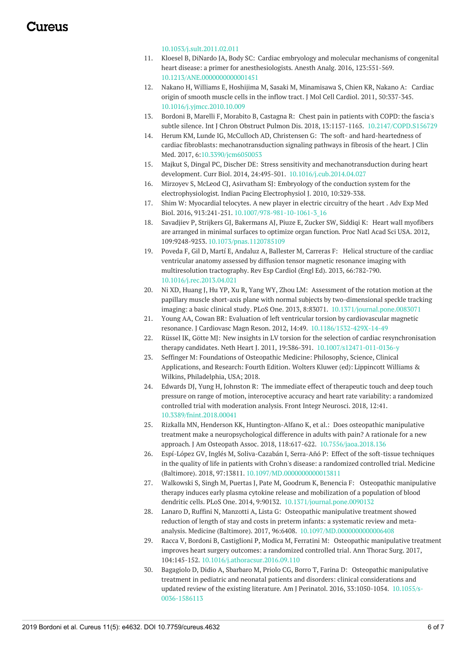[10.1053/j.sult.2011.02.011](https://dx.doi.org/10.1053/j.sult.2011.02.011)

- 11. Kloesel B, DiNardo JA, Body SC: Cardiac embryology and molecular mechanisms of congenital heart disease: a primer for [anesthesiologists.](https://dx.doi.org/10.1213/ANE.0000000000001451) Anesth Analg. 2016, 123:551-569. [10.1213/ANE.0000000000001451](https://dx.doi.org/10.1213/ANE.0000000000001451)
- 12. Nakano H, Williams E, Hoshijima M, Sasaki M, [Minamisawa](https://dx.doi.org/10.1016/j.yjmcc.2010.10.009) S, Chien KR, Nakano A: Cardiac origin of smooth muscle cells in the inflow tract. J Mol Cell Cardiol. 2011, 50:337-345. [10.1016/j.yjmcc.2010.10.009](https://dx.doi.org/10.1016/j.yjmcc.2010.10.009)
- 13. Bordoni B, Marelli F, Morabito B, Castagna R: Chest pain in patients with COPD: the fascia's subtle silence. Int J Chron Obstruct Pulmon Dis. 2018, 13:1157-1165. [10.2147/COPD.S156729](https://dx.doi.org/10.2147/COPD.S156729)
- 14. Herum KM, Lunde IG, McCulloch AD, Christensen G: The soft- and hard-heartedness of cardiac fibroblasts: [mechanotransduction](https://dx.doi.org/10.3390/jcm6050053) signaling pathways in fibrosis of the heart. J Clin Med. 2017, 6[:10.3390/jcm6050053](https://dx.doi.org/10.3390/jcm6050053)
- 15. Majkut S, Dingal PC, Discher DE: Stress sensitivity and mechanotransduction during heart development. Curr Biol. 2014, 24:495-501. [10.1016/j.cub.2014.04.027](https://dx.doi.org/10.1016/j.cub.2014.04.027)
- 16. Mirzoyev S, McLeod CJ, Asirvatham SJ: Embryology of the conduction system for the [electrophysiologist.](https://www.ncbi.nlm.nih.gov/pubmed/20811536) Indian Pacing Electrophysiol J. 2010, 10:329-338.
- 17. Shim W: [Myocardial](https://dx.doi.org/10.1007/978-981-10-1061-3_16) telocytes. A new player in electric circuitry of the heart . Adv Exp Med Biol. 2016, 913:241-251. [10.1007/978-981-10-1061-3\\_16](https://dx.doi.org/10.1007/978-981-10-1061-3_16)
- 18. Savadjiev P, Strijkers GJ, [Bakermans](https://dx.doi.org/10.1073/pnas.1120785109) AJ, Piuze E, Zucker SW, Siddiqi K: Heart wall myofibers are arranged in minimal surfaces to optimize organ function. Proc Natl Acad Sci USA. 2012, 109:9248-9253. [10.1073/pnas.1120785109](https://dx.doi.org/10.1073/pnas.1120785109)
- 19. Poveda F, Gil D, Martí E, Andaluz A, Ballester M, Carreras F: Helical structure of the cardiac ventricular anatomy assessed by diffusion tensor magnetic resonance imaging with [multiresolution](https://dx.doi.org/10.1016/j.rec.2013.04.021) tractography. Rev Esp Cardiol (Engl Ed). 2013, 66:782-790. [10.1016/j.rec.2013.04.021](https://dx.doi.org/10.1016/j.rec.2013.04.021)
- 20. Ni XD, Huang J, Hu YP, Xu R, Yang WY, Zhou LM: Assessment of the rotation motion at the papillary muscle short-axis plane with normal subjects by two-dimensional speckle tracking imaging: a basic clinical study. PLoS One. 2013, 8:83071. [10.1371/journal.pone.0083071](https://dx.doi.org/10.1371/journal.pone.0083071)
- 21. Young AA, Cowan BR: Evaluation of left ventricular torsion by cardiovascular magnetic resonance. J Cardiovasc Magn Reson. 2012, 14:49. [10.1186/1532-429X-14-49](https://dx.doi.org/10.1186/1532-429X-14-49)
- 22. Rüssel IK, Götte MJ: New insights in LV torsion for the selection of cardiac resynchronisation therapy candidates. Neth Heart J. 2011, 19:386-391. [10.1007/s12471-011-0136-y](https://dx.doi.org/10.1007/s12471-011-0136-y)
- 23. Seffinger M: Foundations of Osteopathic Medicine: Philosophy, Science, Clinical [Applications,](https://scholar.google.com/scholar?q=intitle:Foundations of Osteopathic Medicine: Philosophy, Science, Clinical Applications, and Research: Fourth Edition) and Research: Fourth Edition. Wolters Kluwer (ed): Lippincott Williams & Wilkins, Philadelphia, USA; 2018.
- 24. Edwards DJ, Yung H, Johnston R: The immediate effect of therapeutic touch and deep touch pressure on range of motion, [interoceptive](https://dx.doi.org/10.3389/fnint.2018.00041) accuracy and heart rate variability: a randomized controlled trial with moderation analysis. Front Integr Neurosci. 2018, 12:41. [10.3389/fnint.2018.00041](https://dx.doi.org/10.3389/fnint.2018.00041)
- 25. Rizkalla MN, Henderson KK, Huntington-Alfano K, et al.: Does osteopathic manipulative treatment make a neuropsychological difference in adults with pain? A rationale for a new approach. J Am Osteopath Assoc. 2018, 118:617-622. [10.7556/jaoa.2018.136](https://dx.doi.org/10.7556/jaoa.2018.136)
- 26. Espí-López GV, Inglés M, [Soliva-Cazabán](https://dx.doi.org/10.1097/MD.0000000000013811) I, Serra-Añó P: Effect of the soft-tissue techniques in the quality of life in patients with Crohn's disease: a randomized controlled trial. Medicine (Baltimore). 2018, 97:13811. [10.1097/MD.0000000000013811](https://dx.doi.org/10.1097/MD.0000000000013811)
- 27. Walkowski S, Singh M, Puertas J, Pate M, Goodrum K, Benencia F: Osteopathic manipulative therapy induces early plasma cytokine release and mobilization of a population of blood dendritic cells. PLoS One. 2014, 9:90132. [10.1371/journal.pone.0090132](https://dx.doi.org/10.1371/journal.pone.0090132)
- 28. Lanaro D, Ruffini N, Manzotti A, Lista G: Osteopathic manipulative treatment showed reduction of length of stay and costs in preterm infants: a systematic review and metaanalysis. Medicine (Baltimore). 2017, 96:6408. [10.1097/MD.0000000000006408](https://dx.doi.org/10.1097/MD.0000000000006408)
- 29. Racca V, Bordoni B, Castiglioni P, Modica M, Ferratini M: Osteopathic [manipulative](https://dx.doi.org/10.1016/j.athoracsur.2016.09.110) treatment improves heart surgery outcomes: a randomized controlled trial. Ann Thorac Surg. 2017, 104:145-152. [10.1016/j.athoracsur.2016.09.110](https://dx.doi.org/10.1016/j.athoracsur.2016.09.110)
- 30. Bagagiolo D, Didio A, Sbarbaro M, Priolo CG, Borro T, Farina D: Osteopathic manipulative treatment in pediatric and neonatal patients and disorders: clinical [considerations](https://dx.doi.org/10.1055/s-0036-1586113) and updated review of the existing literature. Am J Perinatol. 2016, [33:1050-1054.](https://dx.doi.org/10.1055/s-0036-1586113) 10.1055/s-0036-1586113